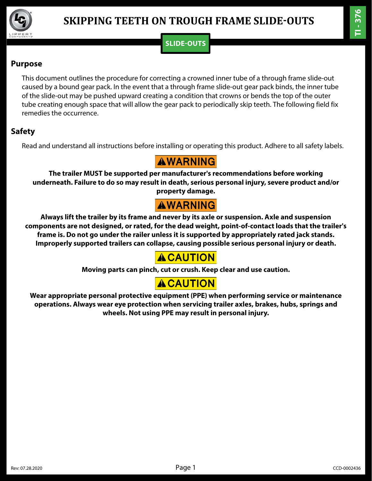

### **SLIDE-OUTS**

#### **Purpose**

This document outlines the procedure for correcting a crowned inner tube of a through frame slide-out caused by a bound gear pack. In the event that a through frame slide-out gear pack binds, the inner tube of the slide-out may be pushed upward creating a condition that crowns or bends the top of the outer tube creating enough space that will allow the gear pack to periodically skip teeth. The following field fix remedies the occurrence.

#### **Safety**

Read and understand all instructions before installing or operating this product. Adhere to all safety labels.

## **AWARNING**

**The trailer MUST be supported per manufacturer's recommendations before working underneath. Failure to do so may result in death, serious personal injury, severe product and/or property damage.** 

# **AWARNING**

**Always lift the trailer by its frame and never by its axle or suspension. Axle and suspension components are not designed, or rated, for the dead weight, point-of-contact loads that the trailer's frame is. Do not go under the railer unless it is supported by appropriately rated jack stands. Improperly supported trailers can collapse, causing possible serious personal injury or death.** 

## **ACAUTION**

**Moving parts can pinch, cut or crush. Keep clear and use caution.**

# **ACAUTION**

**Wear appropriate personal protective equipment (PPE) when performing service or maintenance operations. Always wear eye protection when servicing trailer axles, brakes, hubs, springs and wheels. Not using PPE may result in personal injury.**